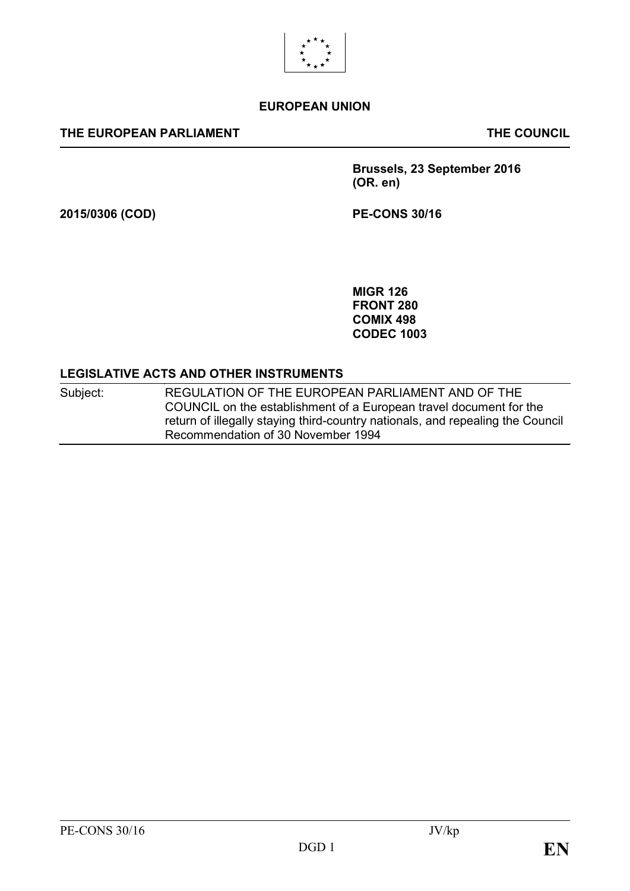

### **EUROPEAN UNION**

#### **THE EUROPEAN PARLIAMENT THE COUNCIL**

**Brussels, 23 September 2016 (OR. en)**

**2015/0306 (COD) PE-CONS 30/16**

**MIGR 126 FRONT 280 COMIX 498 CODEC 1003**

#### **LEGISLATIVE ACTS AND OTHER INSTRUMENTS**

Subject: REGULATION OF THE EUROPEAN PARLIAMENT AND OF THE COUNCIL on the establishment of a European travel document for the return of illegally staying third-country nationals, and repealing the Council Recommendation of 30 November 1994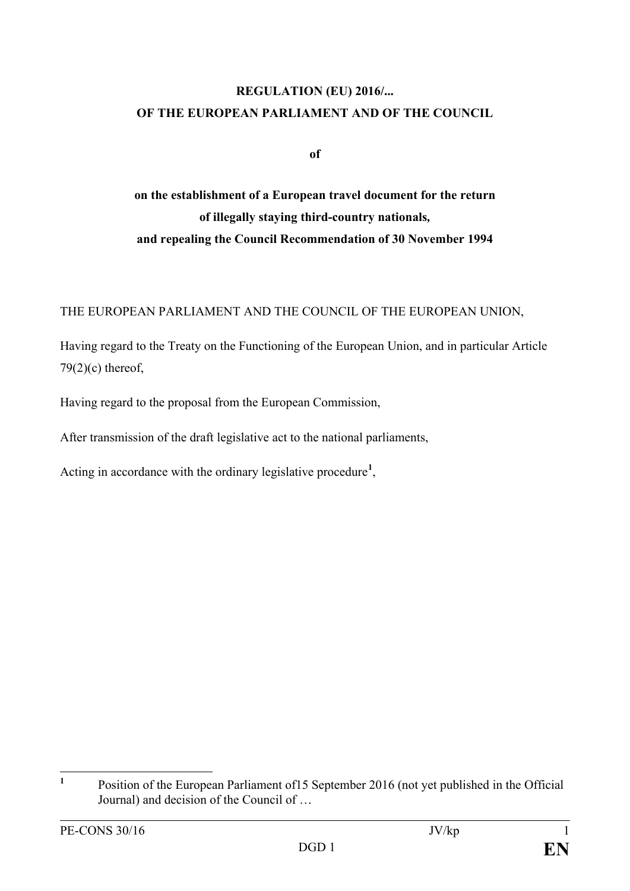## **REGULATION (EU) 2016/... OF THE EUROPEAN PARLIAMENT AND OF THE COUNCIL**

**of**

**on the establishment of a European travel document for the return of illegally staying third-country nationals***,* **and repealing the Council Recommendation of 30 November 1994**

THE EUROPEAN PARLIAMENT AND THE COUNCIL OF THE EUROPEAN UNION,

Having regard to the Treaty on the Functioning of the European Union, and in particular Article  $79(2)(c)$  thereof,

Having regard to the proposal from the European Commission,

After transmission of the draft legislative act to the national parliaments,

Acting in accordance with the ordinary legislative procedure**[1](#page-1-0)** ,

<span id="page-1-0"></span><sup>&</sup>lt;sup>1</sup> Position of the European Parliament of 15 September 2016 (not yet published in the Official Journal) and decision of the Council of …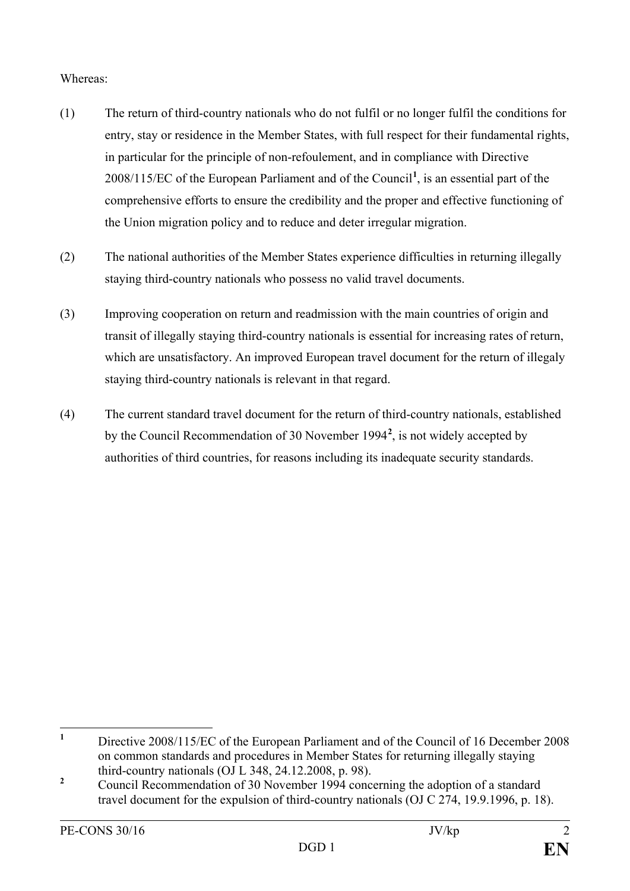### Whereas:

- (1) The return of third-country nationals who do not fulfil or no longer fulfil the conditions for entry, stay or residence in the Member States, with full respect for their fundamental rights, in particular for the principle of non-refoulement, and in compliance with Directive 2008/115/EC of the European Parliament and of the Council**[1](#page-2-0)** , is an essential part of the comprehensive efforts to ensure the credibility and the proper and effective functioning of the Union migration policy and to reduce and deter irregular migration.
- (2) The national authorities of the Member States experience difficulties in returning illegally staying third-country nationals who possess no valid travel documents.
- (3) Improving cooperation on return and readmission with the main countries of origin and transit of illegally staying third-country nationals is essential for increasing rates of return, which are unsatisfactory. An improved European travel document for the return of illegaly staying third-country nationals is relevant in that regard.
- (4) The current standard travel document for the return of third-country nationals, established by the Council Recommendation of 30 November 1994**[2](#page-2-1)** , is not widely accepted by authorities of third countries, for reasons including its inadequate security standards.

<span id="page-2-0"></span><sup>&</sup>lt;sup>1</sup> Directive 2008/115/EC of the European Parliament and of the Council of 16 December 2008 on common standards and procedures in Member States for returning illegally staying third-country nationals (OJ L 348, 24.12.2008, p. 98).

<span id="page-2-1"></span><sup>&</sup>lt;sup>2</sup> Council Recommendation of 30 November 1994 concerning the adoption of a standard travel document for the expulsion of third-country nationals (OJ C 274, 19.9.1996, p. 18).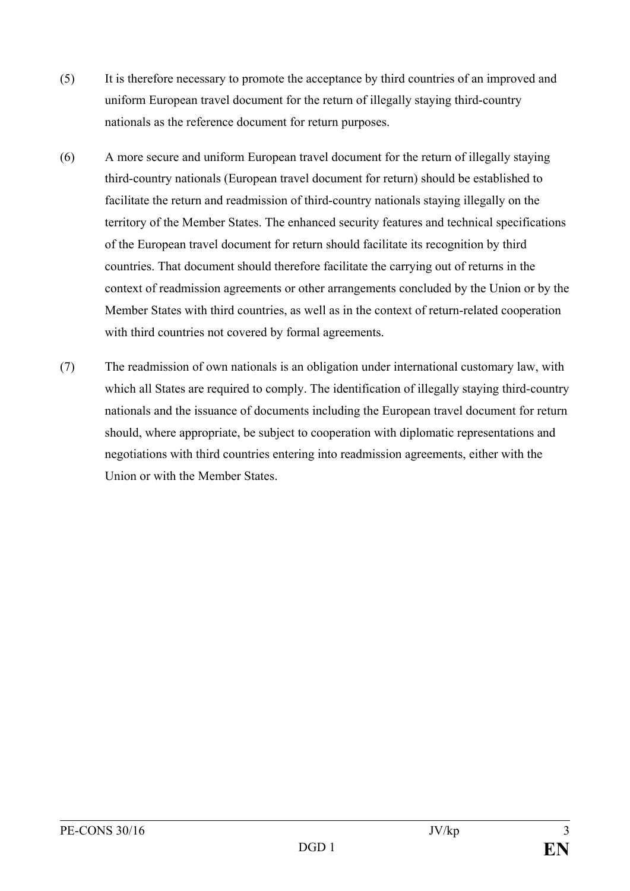- (5) It is therefore necessary to promote the acceptance by third countries of an improved and uniform European travel document for the return of illegally staying third-country nationals as the reference document for return purposes.
- (6) A more secure and uniform European travel document for the return of illegally staying third-country nationals (European travel document for return) should be established to facilitate the return and readmission of third-country nationals staying illegally on the territory of the Member States. The enhanced security features and technical specifications of the European travel document for return should facilitate its recognition by third countries. That document should therefore facilitate the carrying out of returns in the context of readmission agreements or other arrangements concluded by the Union or by the Member States with third countries, as well as in the context of return-related cooperation with third countries not covered by formal agreements.
- (7) The readmission of own nationals is an obligation under international customary law, with which all States are required to comply. The identification of illegally staying third-country nationals and the issuance of documents including the European travel document for return should, where appropriate, be subject to cooperation with diplomatic representations and negotiations with third countries entering into readmission agreements, either with the Union or with the Member States.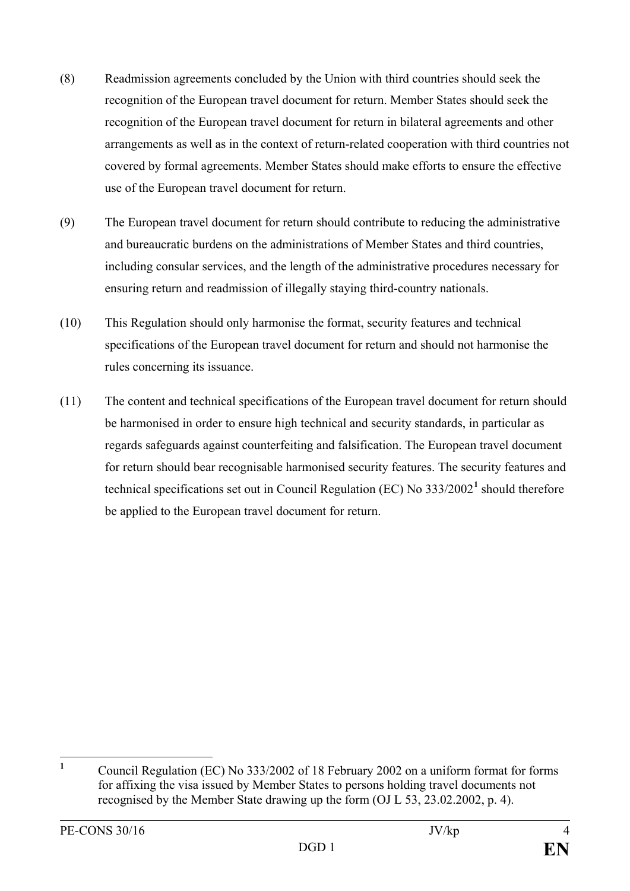- (8) Readmission agreements concluded by the Union with third countries should seek the recognition of the European travel document for return. Member States should seek the recognition of the European travel document for return in bilateral agreements and other arrangements as well as in the context of return-related cooperation with third countries not covered by formal agreements. Member States should make efforts to ensure the effective use of the European travel document for return.
- (9) The European travel document for return should contribute to reducing the administrative and bureaucratic burdens on the administrations of Member States and third countries, including consular services, and the length of the administrative procedures necessary for ensuring return and readmission of illegally staying third-country nationals.
- (10) This Regulation should only harmonise the format, security features and technical specifications of the European travel document for return and should not harmonise the rules concerning its issuance.
- (11) The content and technical specifications of the European travel document for return should be harmonised in order to ensure high technical and security standards, in particular as regards safeguards against counterfeiting and falsification. The European travel document for return should bear recognisable harmonised security features. The security features and technical specifications set out in Council Regulation (EC) No 333/2002**[1](#page-4-0)** should therefore be applied to the European travel document for return.

<span id="page-4-0"></span>**<sup>1</sup>** Council Regulation (EC) No 333/2002 of 18 February 2002 on a uniform format for forms for affixing the visa issued by Member States to persons holding travel documents not recognised by the Member State drawing up the form (OJ L 53, 23.02.2002, p. 4).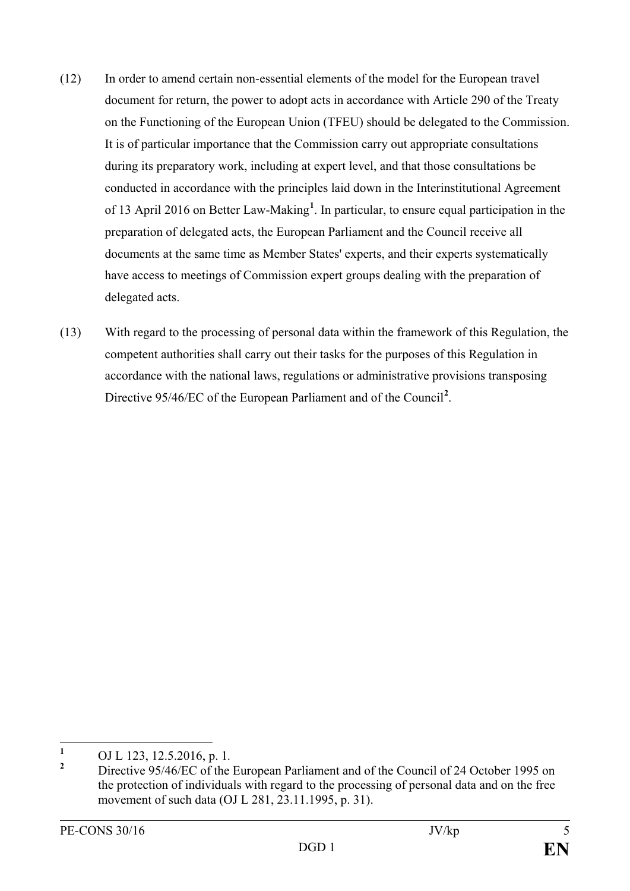- (12) In order to amend certain non-essential elements of the model for the European travel document for return, the power to adopt acts in accordance with Article 290 of the Treaty on the Functioning of the European Union (TFEU) should be delegated to the Commission. It is of particular importance that the Commission carry out appropriate consultations during its preparatory work, including at expert level, and that those consultations be conducted in accordance with the principles laid down in the Interinstitutional Agreement of 13 April 2016 on Better Law-Making**[1](#page-5-0)** . In particular, to ensure equal participation in the preparation of delegated acts, the European Parliament and the Council receive all documents at the same time as Member States' experts, and their experts systematically have access to meetings of Commission expert groups dealing with the preparation of delegated acts.
- (13) With regard to the processing of personal data within the framework of this Regulation, the competent authorities shall carry out their tasks for the purposes of this Regulation in accordance with the national laws, regulations or administrative provisions transposing Directive 95/46/EC of the European Parliament and of the Council**[2](#page-5-1)** .

<span id="page-5-1"></span><span id="page-5-0"></span><sup>&</sup>lt;sup>1</sup> OJ L 123, 12.5.2016, p. 1.<br><sup>2</sup> Directive 95/46/EC of the European Parliament and of the Council of 24 October 1995 on the protection of individuals with regard to the processing of personal data and on the free movement of such data (OJ L 281, 23.11.1995, p. 31).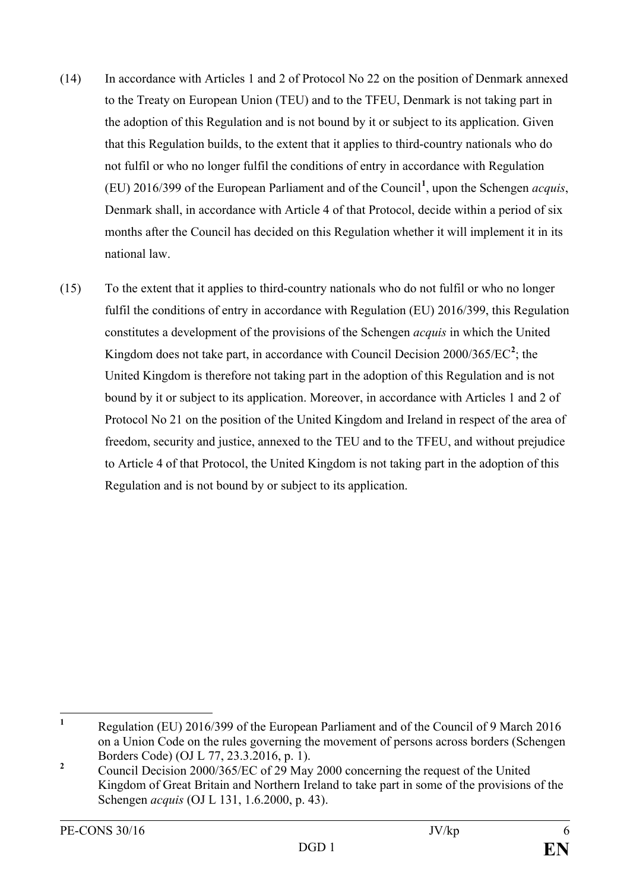- (14) In accordance with Articles 1 and 2 of Protocol No 22 on the position of Denmark annexed to the Treaty on European Union (TEU) and to the TFEU, Denmark is not taking part in the adoption of this Regulation and is not bound by it or subject to its application. Given that this Regulation builds, to the extent that it applies to third-country nationals who do not fulfil or who no longer fulfil the conditions of entry in accordance with Regulation (EU) 2016/399 of the European Parliament and of the Council**[1](#page-6-0)** , upon the Schengen *acquis*, Denmark shall, in accordance with Article 4 of that Protocol, decide within a period of six months after the Council has decided on this Regulation whether it will implement it in its national law.
- (15) To the extent that it applies to third-country nationals who do not fulfil or who no longer fulfil the conditions of entry in accordance with Regulation (EU) 2016/399, this Regulation constitutes a development of the provisions of the Schengen *acquis* in which the United Kingdom does not take part, in accordance with Council Decision  $2000/365/EC^2$  $2000/365/EC^2$ ; the United Kingdom is therefore not taking part in the adoption of this Regulation and is not bound by it or subject to its application. Moreover, in accordance with Articles 1 and 2 of Protocol No 21 on the position of the United Kingdom and Ireland in respect of the area of freedom, security and justice, annexed to the TEU and to the TFEU, and without prejudice to Article 4 of that Protocol, the United Kingdom is not taking part in the adoption of this Regulation and is not bound by or subject to its application.

<span id="page-6-0"></span>**<sup>1</sup>** Regulation (EU) 2016/399 of the European Parliament and of the Council of 9 March 2016 on a Union Code on the rules governing the movement of persons across borders (Schengen Borders Code) (OJ L 77, 23.3.2016, p. 1).

<span id="page-6-1"></span><sup>&</sup>lt;sup>2</sup> Council Decision 2000/365/EC of 29 May 2000 concerning the request of the United Kingdom of Great Britain and Northern Ireland to take part in some of the provisions of the Schengen *acquis* (OJ L 131, 1.6.2000, p. 43).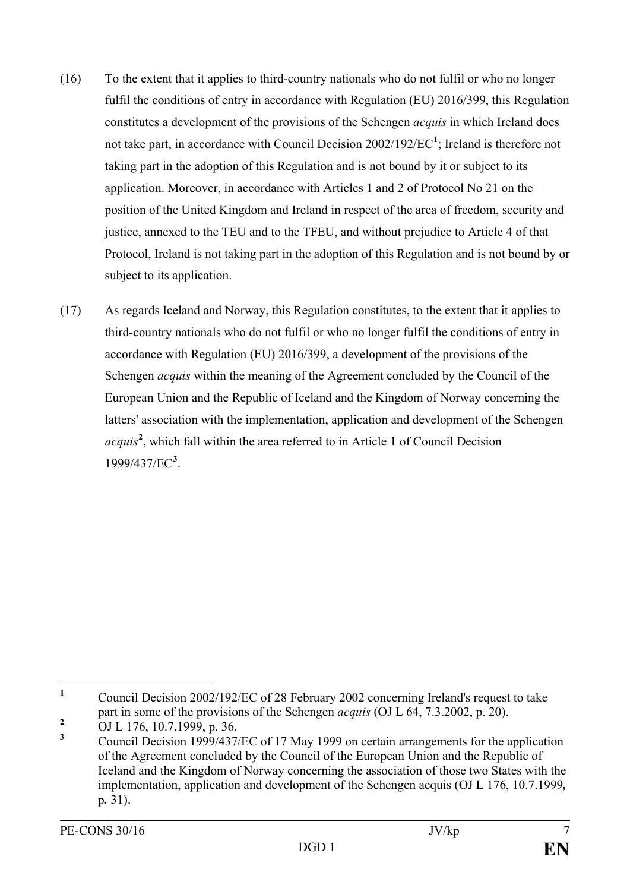- (16) To the extent that it applies to third-country nationals who do not fulfil or who no longer fulfil the conditions of entry in accordance with Regulation (EU) 2016/399, this Regulation constitutes a development of the provisions of the Schengen *acquis* in which Ireland does not take part, in accordance with Council Decision 2002/192/EC**[1](#page-7-0)** ; Ireland is therefore not taking part in the adoption of this Regulation and is not bound by it or subject to its application. Moreover, in accordance with Articles 1 and 2 of Protocol No 21 on the position of the United Kingdom and Ireland in respect of the area of freedom, security and justice, annexed to the TEU and to the TFEU, and without prejudice to Article 4 of that Protocol, Ireland is not taking part in the adoption of this Regulation and is not bound by or subject to its application.
- (17) As regards Iceland and Norway, this Regulation constitutes, to the extent that it applies to third-country nationals who do not fulfil or who no longer fulfil the conditions of entry in accordance with Regulation (EU) 2016/399, a development of the provisions of the Schengen *acquis* within the meaning of the Agreement concluded by the Council of the European Union and the Republic of Iceland and the Kingdom of Norway concerning the latters' association with the implementation, application and development of the Schengen *acquis***[2](#page-7-1)** , which fall within the area referred to in Article 1 of Council Decision 1999/437/EC**[3](#page-7-2)** .

<span id="page-7-0"></span>**<sup>1</sup>** Council Decision 2002/192/EC of 28 February 2002 concerning Ireland's request to take part in some of the provisions of the Schengen *acquis* (OJ L 64, 7.3.2002, p. 20).

<span id="page-7-1"></span><sup>2</sup> OJ L 176, 10.7.1999, p. 36.

<span id="page-7-2"></span>**<sup>3</sup>** Council Decision 1999/437/EC of 17 May 1999 on certain arrangements for the application of the Agreement concluded by the Council of the European Union and the Republic of Iceland and the Kingdom of Norway concerning the association of those two States with the implementation, application and development of the Schengen acquis (OJ L 176, 10.7.1999*,*  p*.* 31).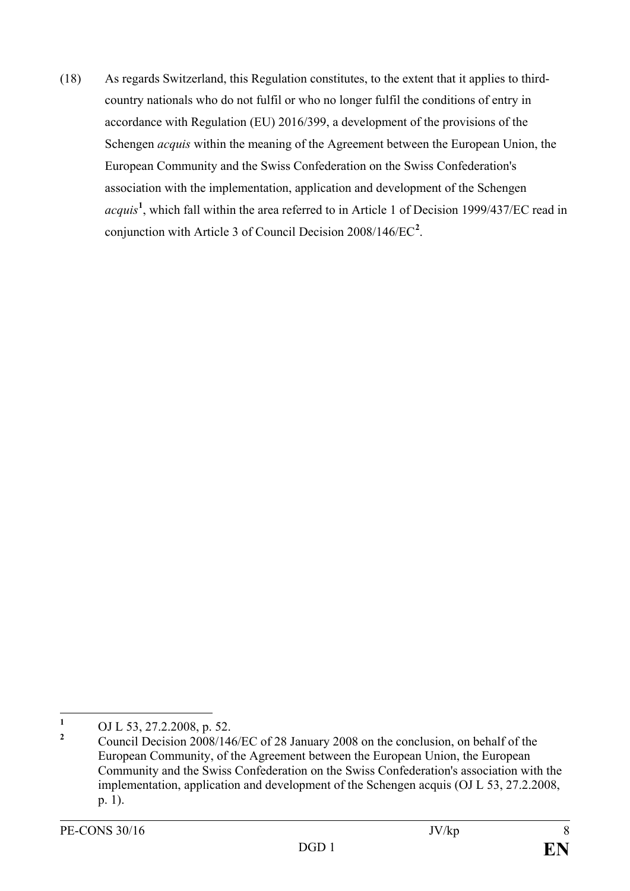(18) As regards Switzerland, this Regulation constitutes, to the extent that it applies to thirdcountry nationals who do not fulfil or who no longer fulfil the conditions of entry in accordance with Regulation (EU) 2016/399, a development of the provisions of the Schengen *acquis* within the meaning of the Agreement between the European Union, the European Community and the Swiss Confederation on the Swiss Confederation's association with the implementation, application and development of the Schengen *acquis***[1](#page-8-0)** , which fall within the area referred to in Article 1 of Decision 1999/437/EC read in conjunction with Article 3 of Council Decision 2008/146/EC**[2](#page-8-1)** .

<span id="page-8-1"></span><span id="page-8-0"></span><sup>&</sup>lt;sup>1</sup> OJ L 53, 27.2.2008, p. 52.<br>
Compil Decision 2008/14

**<sup>2</sup>** Council Decision 2008/146/EC of 28 January 2008 on the conclusion, on behalf of the European Community, of the Agreement between the European Union, the European Community and the Swiss Confederation on the Swiss Confederation's association with the implementation, application and development of the Schengen acquis (OJ L 53, 27.2.2008, p. 1).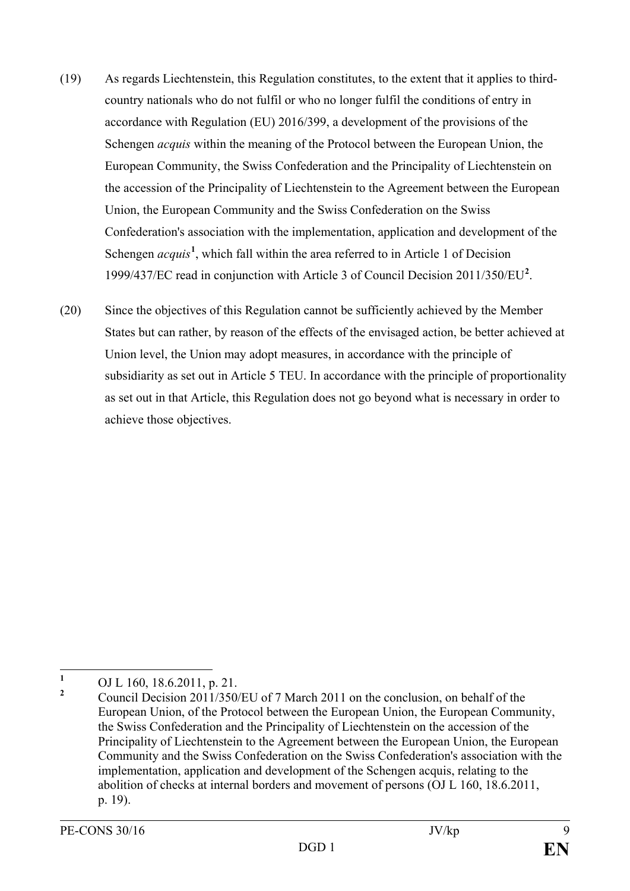- (19) As regards Liechtenstein, this Regulation constitutes, to the extent that it applies to thirdcountry nationals who do not fulfil or who no longer fulfil the conditions of entry in accordance with Regulation (EU) 2016/399, a development of the provisions of the Schengen *acquis* within the meaning of the Protocol between the European Union, the European Community, the Swiss Confederation and the Principality of Liechtenstein on the accession of the Principality of Liechtenstein to the Agreement between the European Union, the European Community and the Swiss Confederation on the Swiss Confederation's association with the implementation, application and development of the Schengen *acquis*<sup>[1](#page-9-0)</sup>, which fall within the area referred to in Article 1 of Decision 1999/437/EC read in conjunction with Article 3 of Council Decision 2011/350/EU**[2](#page-9-1)** .
- (20) Since the objectives of this Regulation cannot be sufficiently achieved by the Member States but can rather, by reason of the effects of the envisaged action, be better achieved at Union level, the Union may adopt measures, in accordance with the principle of subsidiarity as set out in Article 5 TEU. In accordance with the principle of proportionality as set out in that Article, this Regulation does not go beyond what is necessary in order to achieve those objectives.

<span id="page-9-0"></span><sup>&</sup>lt;sup>1</sup> OJ L 160, 18.6.2011, p. 21.

<span id="page-9-1"></span>**<sup>2</sup>** Council Decision 2011/350/EU of 7 March 2011 on the conclusion, on behalf of the European Union, of the Protocol between the European Union, the European Community, the Swiss Confederation and the Principality of Liechtenstein on the accession of the Principality of Liechtenstein to the Agreement between the European Union, the European Community and the Swiss Confederation on the Swiss Confederation's association with the implementation, application and development of the Schengen acquis, relating to the abolition of checks at internal borders and movement of persons (OJ L 160, 18.6.2011, p. 19).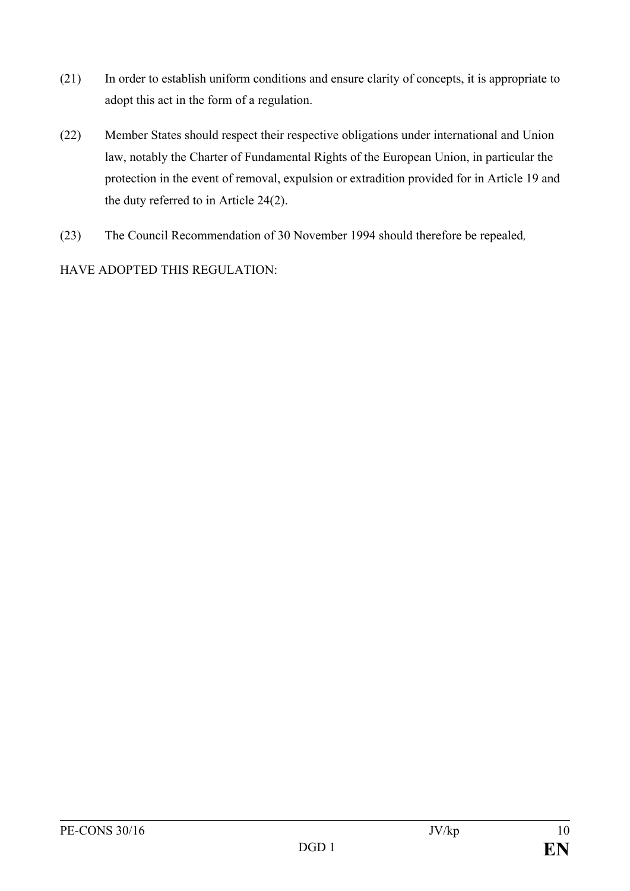- (21) In order to establish uniform conditions and ensure clarity of concepts, it is appropriate to adopt this act in the form of a regulation.
- (22) Member States should respect their respective obligations under international and Union law, notably the Charter of Fundamental Rights of the European Union, in particular the protection in the event of removal, expulsion or extradition provided for in Article 19 and the duty referred to in Article 24(2).
- (23) The Council Recommendation of 30 November 1994 should therefore be repealed*,*

HAVE ADOPTED THIS REGULATION: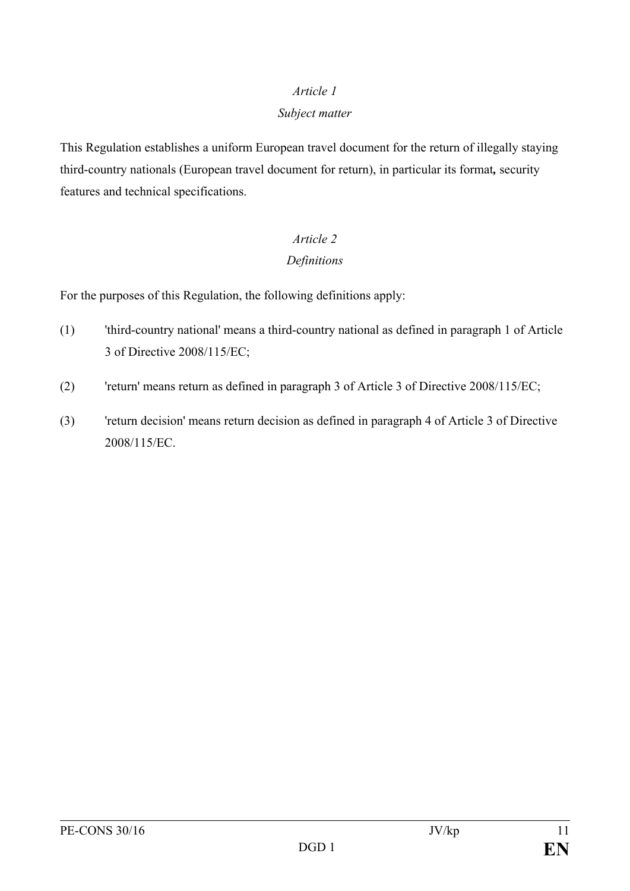### *Subject matter*

This Regulation establishes a uniform European travel document for the return of illegally staying third-country nationals (European travel document for return), in particular its format*,* security features and technical specifications.

# *Article 2 Definitions*

For the purposes of this Regulation, the following definitions apply:

- (1) 'third-country national' means a third-country national as defined in paragraph 1 of Article 3 of Directive 2008/115/EC;
- (2) 'return' means return as defined in paragraph 3 of Article 3 of Directive 2008/115/EC;
- (3) 'return decision' means return decision as defined in paragraph 4 of Article 3 of Directive 2008/115/EC.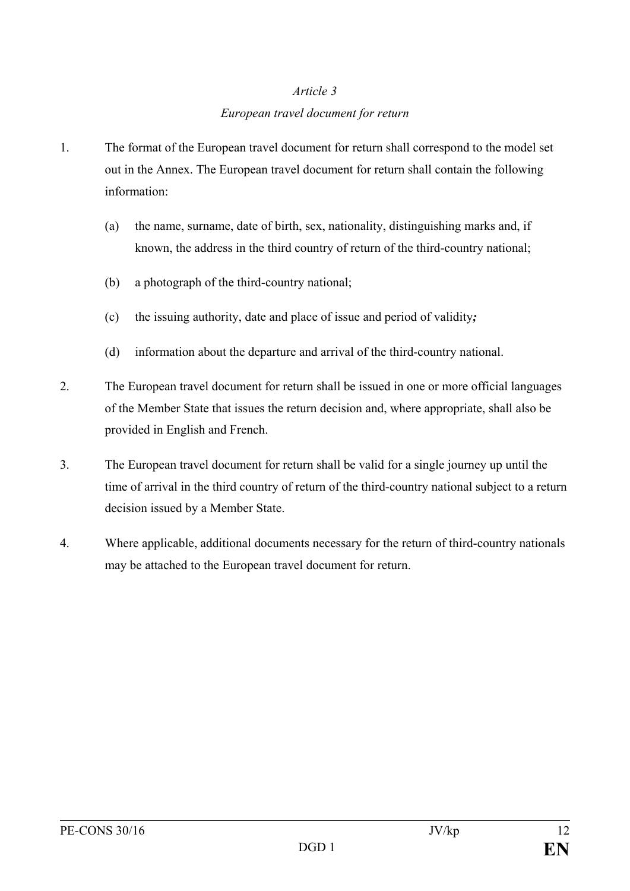### *European travel document for return*

- 1. The format of the European travel document for return shall correspond to the model set out in the Annex. The European travel document for return shall contain the following information:
	- (a) the name, surname, date of birth, sex, nationality, distinguishing marks and, if known, the address in the third country of return of the third-country national;
	- (b) a photograph of the third-country national;
	- (c) the issuing authority, date and place of issue and period of validity*;*
	- (d) information about the departure and arrival of the third-country national.
- 2. The European travel document for return shall be issued in one or more official languages of the Member State that issues the return decision and, where appropriate, shall also be provided in English and French.
- 3. The European travel document for return shall be valid for a single journey up until the time of arrival in the third country of return of the third-country national subject to a return decision issued by a Member State.
- 4. Where applicable, additional documents necessary for the return of third-country nationals may be attached to the European travel document for return.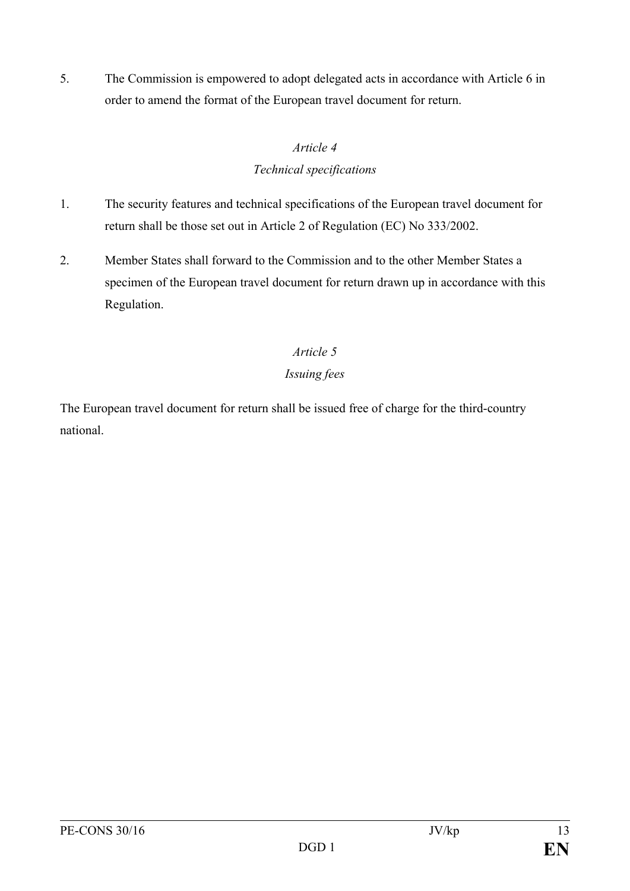5. The Commission is empowered to adopt delegated acts in accordance with Article 6 in order to amend the format of the European travel document for return.

### *Article 4*

### *Technical specifications*

- 1. The security features and technical specifications of the European travel document for return shall be those set out in Article 2 of Regulation (EC) No 333/2002.
- 2. Member States shall forward to the Commission and to the other Member States a specimen of the European travel document for return drawn up in accordance with this Regulation.

### *Article 5*

### *Issuing fees*

The European travel document for return shall be issued free of charge for the third-country national.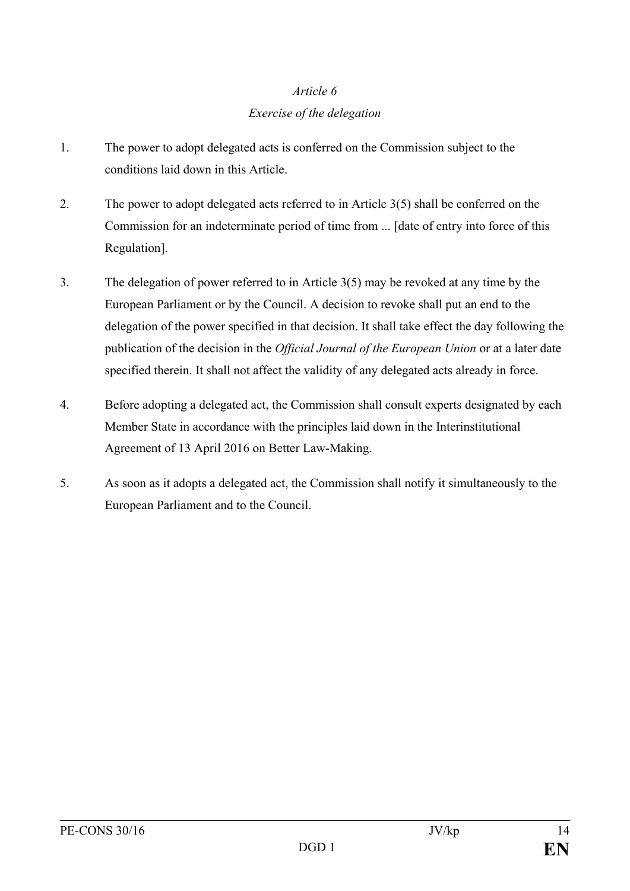### *Exercise of the delegation*

- 1. The power to adopt delegated acts is conferred on the Commission subject to the conditions laid down in this Article.
- 2. The power to adopt delegated acts referred to in Article 3(5) shall be conferred on the Commission for an indeterminate period of time from ... [date of entry into force of this Regulation].
- 3. The delegation of power referred to in Article 3(5) may be revoked at any time by the European Parliament or by the Council. A decision to revoke shall put an end to the delegation of the power specified in that decision. It shall take effect the day following the publication of the decision in the *Official Journal of the European Union* or at a later date specified therein. It shall not affect the validity of any delegated acts already in force.
- 4. Before adopting a delegated act, the Commission shall consult experts designated by each Member State in accordance with the principles laid down in the Interinstitutional Agreement of 13 April 2016 on Better Law-Making.
- 5. As soon as it adopts a delegated act, the Commission shall notify it simultaneously to the European Parliament and to the Council.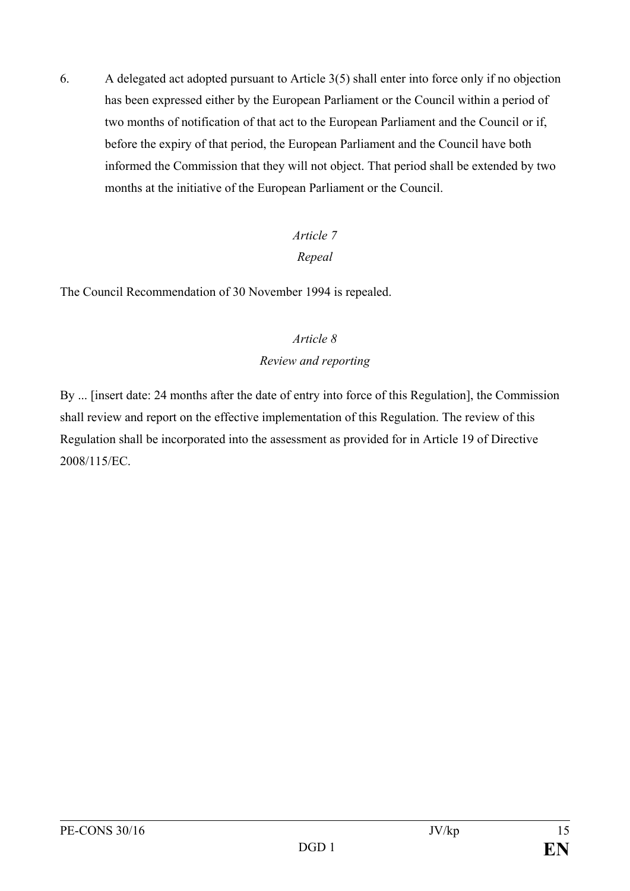6. A delegated act adopted pursuant to Article 3(5) shall enter into force only if no objection has been expressed either by the European Parliament or the Council within a period of two months of notification of that act to the European Parliament and the Council or if, before the expiry of that period, the European Parliament and the Council have both informed the Commission that they will not object. That period shall be extended by two months at the initiative of the European Parliament or the Council.

## *Article 7 Repeal*

The Council Recommendation of 30 November 1994 is repealed.

# *Article 8 Review and reporting*

By ... [insert date: 24 months after the date of entry into force of this Regulation], the Commission shall review and report on the effective implementation of this Regulation. The review of this Regulation shall be incorporated into the assessment as provided for in Article 19 of Directive 2008/115/EC.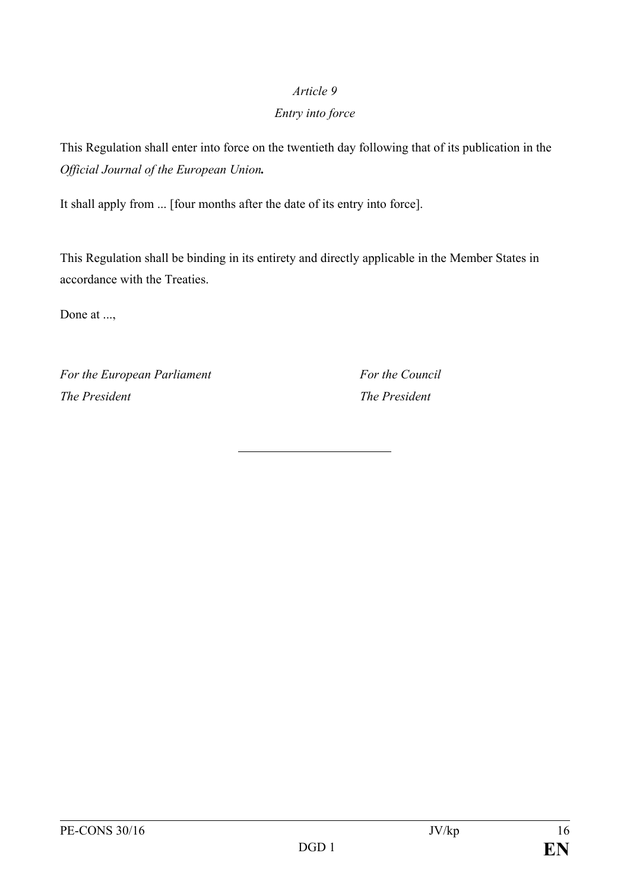### *Entry into force*

This Regulation shall enter into force on the twentieth day following that of its publication in the *Official Journal of the European Union.*

It shall apply from ... [four months after the date of its entry into force].

This Regulation shall be binding in its entirety and directly applicable in the Member States in accordance with the Treaties.

Done at ...,

*For the European Parliament For the Council The President The President*